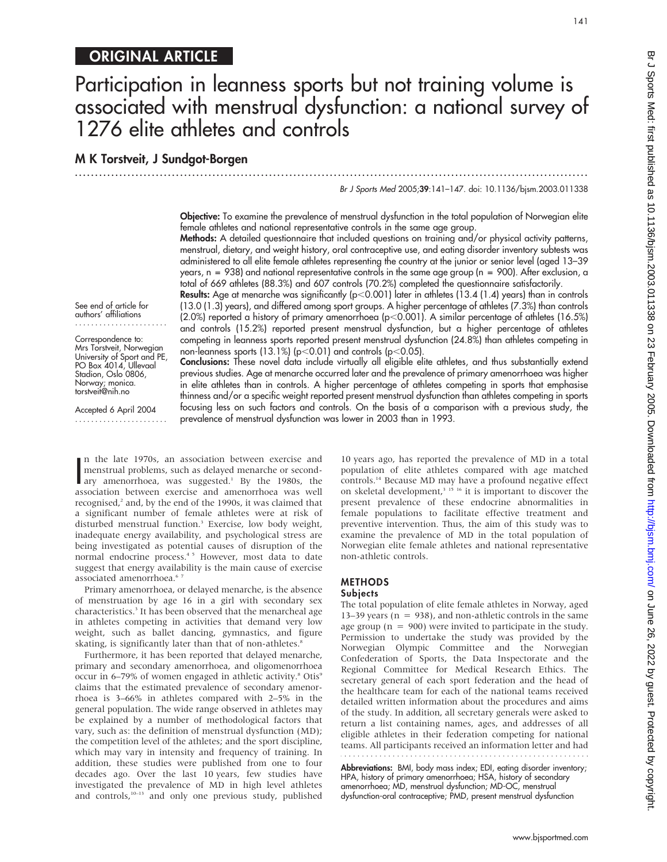# ORIGINAL ARTICLE

# Participation in leanness sports but not training volume is associated with menstrual dysfunction: a national survey of 1276 elite athletes and controls

...............................................................................................................................

# M K Torstveit, J Sundgot-Borgen

Br J Sports Med 2005;39:141–147. doi: 10.1136/bjsm.2003.011338

Objective: To examine the prevalence of menstrual dysfunction in the total population of Norwegian elite female athletes and national representative controls in the same age group.

Methods: A detailed questionnaire that included questions on training and/or physical activity patterns, menstrual, dietary, and weight history, oral contraceptive use, and eating disorder inventory subtests was administered to all elite female athletes representing the country at the junior or senior level (aged 13–39 years,  $n = 938$ ) and national representative controls in the same age group ( $n = 900$ ). After exclusion, a total of 669 athletes (88.3%) and 607 controls (70.2%) completed the questionnaire satisfactorily.

Results: Age at menarche was significantly ( $p$ <0.001) later in athletes (13.4 (1.4) years) than in controls (13.0 (1.3) years), and differed among sport groups. A higher percentage of athletes (7.3%) than controls (2.0%) reported a history of primary amenorrhoea (p<0.001). A similar percentage of athletes (16.5%) and controls (15.2%) reported present menstrual dysfunction, but a higher percentage of athletes competing in leanness sports reported present menstrual dysfunction (24.8%) than athletes competing in non-leanness sports (13.1%) ( $p$ <0.01) and controls ( $p$ <0.05).

See end of article for authors' affiliations .......................

Correspondence to: Mrs Torstveit, Norwegian University of Sport and PE, PO Box 4014, Ullevaal Stadion, Oslo<sup>'0806</sup>, Norway; monica. torstveit@nih.no

Accepted 6 April 2004 ....................... Conclusions: These novel data include virtually all eligible elite athletes, and thus substantially extend previous studies. Age at menarche occurred later and the prevalence of primary amenorrhoea was higher in elite athletes than in controls. A higher percentage of athletes competing in sports that emphasise thinness and/or a specific weight reported present menstrual dysfunction than athletes competing in sports focusing less on such factors and controls. On the basis of a comparison with a previous study, the prevalence of menstrual dysfunction was lower in 2003 than in 1993.

In the late 1970s, an association between exercise and<br>
menstrual problems, such as delayed menarche or second-<br>
ary amenorrhoea, was suggested.<sup>1</sup> By the 1980s, the<br>
1980s, the n the late 1970s, an association between exercise and menstrual problems, such as delayed menarche or secondassociation between exercise and amenorrhoea was well recognised,<sup>2</sup> and, by the end of the 1990s, it was claimed that a significant number of female athletes were at risk of disturbed menstrual function.<sup>3</sup> Exercise, low body weight, inadequate energy availability, and psychological stress are being investigated as potential causes of disruption of the normal endocrine process.<sup>45</sup> However, most data to date suggest that energy availability is the main cause of exercise associated amenorrhoea.<sup>67</sup>

Primary amenorrhoea, or delayed menarche, is the absence of menstruation by age 16 in a girl with secondary sex characteristics.<sup>3</sup> It has been observed that the menarcheal age in athletes competing in activities that demand very low weight, such as ballet dancing, gymnastics, and figure skating, is significantly later than that of non-athletes.<sup>8</sup>

Furthermore, it has been reported that delayed menarche, primary and secondary amenorrhoea, and oligomenorrhoea occur in 6–79% of women engaged in athletic activity.<sup>8</sup> Otis<sup>9</sup> claims that the estimated prevalence of secondary amenorrhoea is 3–66% in athletes compared with 2–5% in the general population. The wide range observed in athletes may be explained by a number of methodological factors that vary, such as: the definition of menstrual dysfunction (MD); the competition level of the athletes; and the sport discipline, which may vary in intensity and frequency of training. In addition, these studies were published from one to four decades ago. Over the last 10 years, few studies have investigated the prevalence of MD in high level athletes and controls,<sup>10-13</sup> and only one previous study, published

10 years ago, has reported the prevalence of MD in a total population of elite athletes compared with age matched controls.14 Because MD may have a profound negative effect on skeletal development, $3^{15}$  16 it is important to discover the present prevalence of these endocrine abnormalities in female populations to facilitate effective treatment and preventive intervention. Thus, the aim of this study was to examine the prevalence of MD in the total population of Norwegian elite female athletes and national representative non-athletic controls.

# METHODS

# **Subjects**

The total population of elite female athletes in Norway, aged 13–39 years ( $n = 938$ ), and non-athletic controls in the same age group ( $n = 900$ ) were invited to participate in the study. Permission to undertake the study was provided by the Norwegian Olympic Committee and the Norwegian Confederation of Sports, the Data Inspectorate and the Regional Committee for Medical Research Ethics. The secretary general of each sport federation and the head of the healthcare team for each of the national teams received detailed written information about the procedures and aims of the study. In addition, all secretary generals were asked to return a list containing names, ages, and addresses of all eligible athletes in their federation competing for national teams. All participants received an information letter and had

Abbreviations: BMI, body mass index; EDI, eating disorder inventory; HPA, history of primary amenorrhoea; HSA, history of secondary amenorrhoea; MD, menstrual dysfunction; MD-OC, menstrual dysfunction-oral contraceptive; PMD, present menstrual dysfunction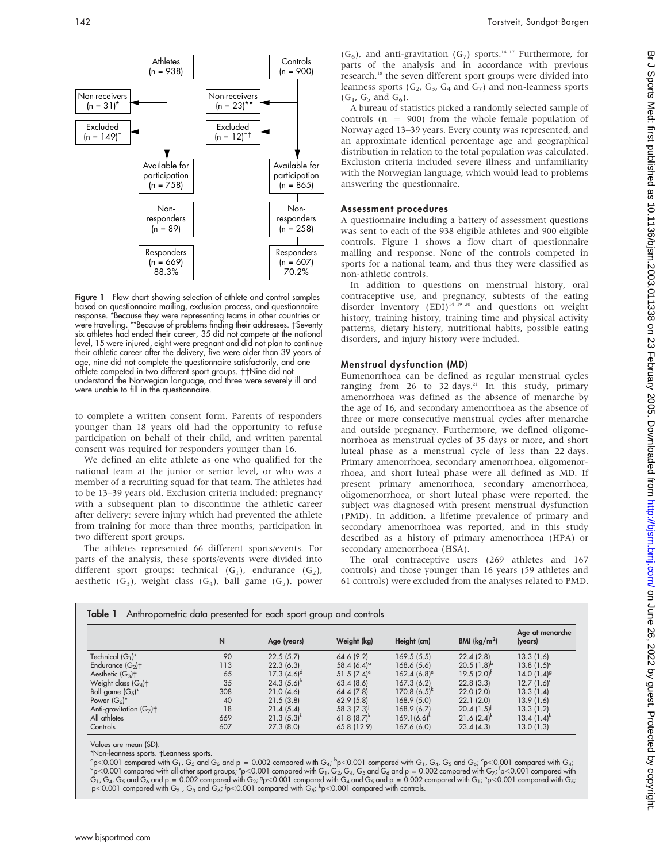

Figure 1 Flow chart showing selection of athlete and control samples based on questionnaire mailing, exclusion process, and questionnaire response. \*Because they were representing teams in other countries or were travelling. \*\*Because of problems finding their addresses. +Seventy six athletes had ended their career, 35 did not compete at the national level, 15 were injured, eight were pregnant and did not plan to continue their athletic career after the delivery, five were older than 39 years of age, nine did not complete the questionnaire satisfactorily, and one athlete competed in two different sport groups. ++Nine did not understand the Norwegian language, and three were severely ill and were unable to fill in the questionnaire.

to complete a written consent form. Parents of responders younger than 18 years old had the opportunity to refuse participation on behalf of their child, and written parental consent was required for responders younger than 16.

We defined an elite athlete as one who qualified for the national team at the junior or senior level, or who was a member of a recruiting squad for that team. The athletes had to be 13–39 years old. Exclusion criteria included: pregnancy with a subsequent plan to discontinue the athletic career after delivery; severe injury which had prevented the athlete from training for more than three months; participation in two different sport groups.

The athletes represented 66 different sports/events. For parts of the analysis, these sports/events were divided into different sport groups: technical  $(G_1)$ , endurance  $(G_2)$ , aesthetic  $(G_3)$ , weight class  $(G_4)$ , ball game  $(G_5)$ , power

 $(G_6)$ , and anti-gravitation  $(G_7)$  sports.<sup>14 17</sup> Furthermore, for parts of the analysis and in accordance with previous research,<sup>18</sup> the seven different sport groups were divided into leanness sports ( $G_2$ ,  $G_3$ ,  $G_4$  and  $G_7$ ) and non-leanness sports  $(G_1, G_5 \text{ and } G_6).$ 

A bureau of statistics picked a randomly selected sample of controls  $(n = 900)$  from the whole female population of Norway aged 13–39 years. Every county was represented, and an approximate identical percentage age and geographical distribution in relation to the total population was calculated. Exclusion criteria included severe illness and unfamiliarity with the Norwegian language, which would lead to problems answering the questionnaire.

#### Assessment procedures

A questionnaire including a battery of assessment questions was sent to each of the 938 eligible athletes and 900 eligible controls. Figure 1 shows a flow chart of questionnaire mailing and response. None of the controls competed in sports for a national team, and thus they were classified as non-athletic controls.

In addition to questions on menstrual history, oral contraceptive use, and pregnancy, subtests of the eating disorder inventory  $(EDI)^{14}$ <sup>19 20</sup> and questions on weight history, training history, training time and physical activity patterns, dietary history, nutritional habits, possible eating disorders, and injury history were included.

## Menstrual dysfunction (MD)

Eumenorrhoea can be defined as regular menstrual cycles ranging from  $26$  to  $32$  days.<sup>21</sup> In this study, primary amenorrhoea was defined as the absence of menarche by the age of 16, and secondary amenorrhoea as the absence of three or more consecutive menstrual cycles after menarche and outside pregnancy. Furthermore, we defined oligomenorrhoea as menstrual cycles of 35 days or more, and short luteal phase as a menstrual cycle of less than 22 days. Primary amenorrhoea, secondary amenorrhoea, oligomenorrhoea, and short luteal phase were all defined as MD. If present primary amenorrhoea, secondary amenorrhoea, oligomenorrhoea, or short luteal phase were reported, the subject was diagnosed with present menstrual dysfunction (PMD). In addition, a lifetime prevalence of primary and secondary amenorrhoea was reported, and in this study described as a history of primary amenorrhoea (HPA) or secondary amenorrhoea (HSA).

The oral contraceptive users (269 athletes and 167 controls) and those younger than 16 years (59 athletes and 61 controls) were excluded from the analyses related to PMD.

|                                      | N   | Age (years)     | Weight (kg)               | Height (cm)      | BMI $(kq/m^2)$   | Age at menarche<br>(years) |
|--------------------------------------|-----|-----------------|---------------------------|------------------|------------------|----------------------------|
| Technical $(G_1)^*$                  | 90  | 22.5(5.7)       | 64.6 (9.2)                | 169.5(5.5)       | 22.4(2.8)        | 13.3(1.6)                  |
| Endurance $(G2)$ +                   | 113 | 22.3(6.3)       | 58.4 $(6.4)^\circ$        | 168.6 (5.6)      | 20.5 $(1.8)^{b}$ | $13.8(1.5)^c$              |
| Aesthetic $(G_3)$ +                  | 65  | $17.3 (4.6)^d$  | 51.5 $(7.4)$ <sup>e</sup> | $162.4(6.8)^e$   | $19.5(2.0)^t$    | 14.0 $(1.4)^{9}$           |
| Weight class $(G_4)$ <sup>+</sup>    | 35  | 24.3 $(5.6)^h$  | 63.4(8.6)                 | 167.3(6.2)       | 22.8(3.3)        | $12.7(1.6)^{i}$            |
| Ball game $(G_5)^*$                  | 308 | 21.0(4.6)       | 64.4(7.8)                 | $170.8(6.5)^{k}$ | 22.0(2.0)        | 13.3(1.4)                  |
| Power $(GA)^*$                       | 40  | 21.5(3.8)       | 62.9(5.8)                 | 168.9 (5.0)      | 22.1(2.0)        | 13.9(1.6)                  |
| Anti-gravitation $(G7)$ <sup>+</sup> | 18  | 21.4(5.4)       | 58.3(7.3)                 | 168.9 (6.7)      | 20.4(1.5)        | 13.3(1.2)                  |
| All athletes                         | 669 | $21.3(5.3)^{k}$ | 61.8 $(8.7)^{k}$          | $169.1(6.6)^{k}$ | 21.6 $(2.4)^k$   | $13.4(1.4)^{k}$            |
| Controls                             | 607 | 27.3(8.0)       | 65.8 (12.9)               | 167.6 (6.0)      | 23.4(4.3)        | 13.0(1.3)                  |

Values are mean (SD).<br>\*Non-leanness sports, †Leanness sports.

\*Non-leanness sports. †Leanness sports.<br>"p<0.001 compared with G<sub>1</sub>, G<sub>5</sub> and G<sub>6</sub> and p = 0.002 compared with G<sub>4</sub>; <sup>b</sup>p<0.001 compared with G<sub>1</sub>, G<sub>4</sub>, G<sub>5</sub> and G<sub>6</sub>; <sup>c</sup>p<0.001 compared with G<sub>4</sub>;<br>"p<0.001 compared wit p<0.001 compared with G<sub>2</sub> , G<sub>3</sub> and G<sub>6</sub>; <sup>i</sup>p<0.001 compared with G<sub>5</sub>; <sup>k</sup>p<0.001 compared with controls.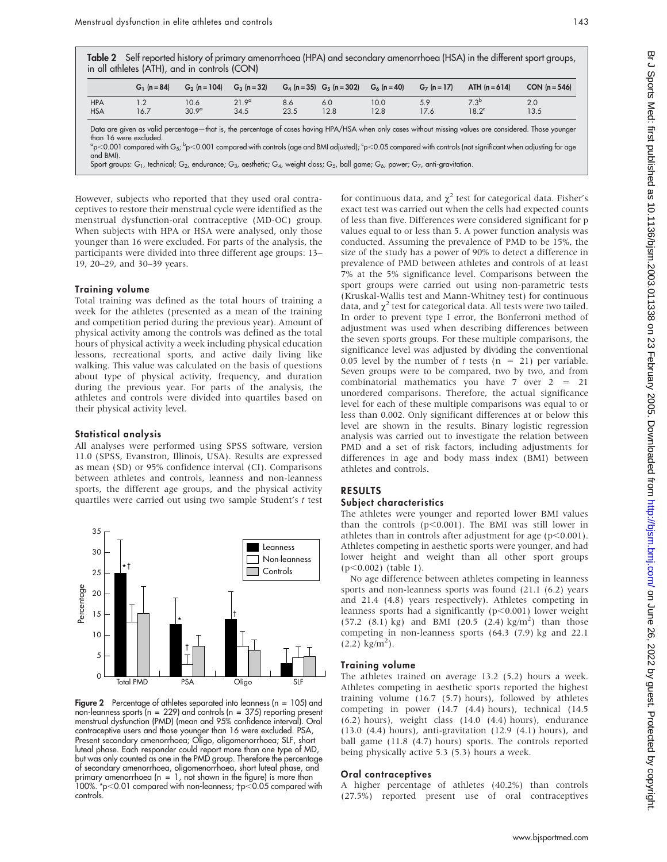| I<br>$\sim$ |  |
|-------------|--|
|             |  |

|            | $G_1$ (n = 84) | $G_2$ (n = 104)           | $G_3$ (n = 32)                                                                                                                                          |             | $G_4$ (n = 35) $G_5$ (n = 302) | $G_6$ (n = 40) | $G_7$ (n = 17) | $ATH (n = 614)$                       | $CON (n = 546)$ |
|------------|----------------|---------------------------|---------------------------------------------------------------------------------------------------------------------------------------------------------|-------------|--------------------------------|----------------|----------------|---------------------------------------|-----------------|
| <b>HPA</b> | 1.2<br>16.7    | 10.6<br>30.9 <sup>a</sup> | $21.9^{\circ}$<br>34.5                                                                                                                                  | 8.6<br>23.5 | 6.0<br>12.8                    | 10.0<br>12.8   | 5.9<br>17.6    | 7.3 <sup>b</sup><br>18.2 <sup>c</sup> | 2.0<br>13.5     |
| <b>HSA</b> |                |                           | Data are given as valid percentage—that is, the percentage of cases having HPA/HSA when only cases without missing values are considered. Those younger |             |                                |                |                |                                       |                 |

However, subjects who reported that they used oral contraceptives to restore their menstrual cycle were identified as the menstrual dysfunction-oral contraceptive (MD-OC) group. When subjects with HPA or HSA were analysed, only those younger than 16 were excluded. For parts of the analysis, the participants were divided into three different age groups: 13– 19, 20–29, and 30–39 years.

#### Training volume

Total training was defined as the total hours of training a week for the athletes (presented as a mean of the training and competition period during the previous year). Amount of physical activity among the controls was defined as the total hours of physical activity a week including physical education lessons, recreational sports, and active daily living like walking. This value was calculated on the basis of questions about type of physical activity, frequency, and duration during the previous year. For parts of the analysis, the athletes and controls were divided into quartiles based on their physical activity level.

#### Statistical analysis

All analyses were performed using SPSS software, version 11.0 (SPSS, Evanstron, Illinois, USA). Results are expressed as mean (SD) or 95% confidence interval (CI). Comparisons between athletes and controls, leanness and non-leanness sports, the different age groups, and the physical activity quartiles were carried out using two sample Student's t test



**Figure 2** Percentage of athletes separated into leanness ( $n = 105$ ) and non-leanness sports (n = 229) and controls (n = 375) reporting present menstrual dysfunction (PMD) (mean and 95% confidence interval). Oral contraceptive users and those younger than 16 were excluded. PSA, Present secondary amenorrhoea; Oligo, oligomenorrhoea; SLF, short luteal phase. Each responder could report more than one type of MD, but was only counted as one in the PMD group. Therefore the percentage of secondary amenorrhoea, oligomenorrhoea, short luteal phase, and primary amenorrhoea (n = 1, not shown in the figure) is more than 100%.  $\gamma$  p < 0.01 compared with non-leanness;  $\gamma$  = 0.05 compared with controls.

for continuous data, and  $\chi^2$  test for categorical data. Fisher's exact test was carried out when the cells had expected counts of less than five. Differences were considered significant for p values equal to or less than 5. A power function analysis was conducted. Assuming the prevalence of PMD to be 15%, the size of the study has a power of 90% to detect a difference in prevalence of PMD between athletes and controls of at least 7% at the 5% significance level. Comparisons between the sport groups were carried out using non-parametric tests (Kruskal-Wallis test and Mann-Whitney test) for continuous data, and  $\chi^2$  test for categorical data. All tests were two tailed. In order to prevent type I error, the Bonferroni method of adjustment was used when describing differences between the seven sports groups. For these multiple comparisons, the significance level was adjusted by dividing the conventional 0.05 level by the number of t tests  $(n = 21)$  per variable. Seven groups were to be compared, two by two, and from combinatorial mathematics you have 7 over 2 = 21 unordered comparisons. Therefore, the actual significance level for each of these multiple comparisons was equal to or less than 0.002. Only significant differences at or below this level are shown in the results. Binary logistic regression analysis was carried out to investigate the relation between PMD and a set of risk factors, including adjustments for differences in age and body mass index (BMI) between athletes and controls.

# RESULTS

## Subject characteristics

The athletes were younger and reported lower BMI values than the controls ( $p<0.001$ ). The BMI was still lower in athletes than in controls after adjustment for age  $(p<0.001)$ . Athletes competing in aesthetic sports were younger, and had lower height and weight than all other sport groups  $(p<0.002)$  (table 1).

No age difference between athletes competing in leanness sports and non-leanness sports was found (21.1 (6.2) years and 21.4 (4.8) years respectively). Athletes competing in leanness sports had a significantly  $(p<0.001)$  lower weight  $(57.2 \, (8.1) \text{ kg})$  and BMI  $(20.5 \, (2.4) \, \text{kg/m}^2)$  than those competing in non-leanness sports (64.3 (7.9) kg and 22.1  $(2.2)$  kg/m<sup>2</sup>).

#### Training volume

The athletes trained on average 13.2 (5.2) hours a week. Athletes competing in aesthetic sports reported the highest training volume (16.7 (5.7) hours), followed by athletes competing in power (14.7 (4.4) hours), technical (14.5 (6.2) hours), weight class (14.0 (4.4) hours), endurance (13.0 (4.4) hours), anti-gravitation (12.9 (4.1) hours), and ball game (11.8 (4.7) hours) sports. The controls reported being physically active 5.3 (5.3) hours a week.

#### Oral contraceptives

A higher percentage of athletes (40.2%) than controls (27.5%) reported present use of oral contraceptives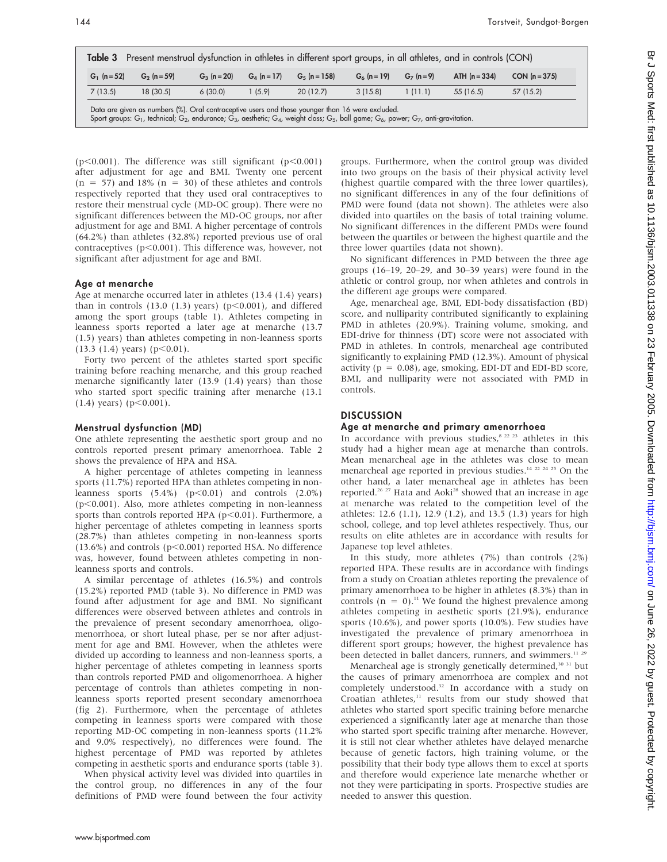| Present menstrual dysfunction in athletes in different sport groups, in all athletes, and in controls (CON)<br>Table 3 |                                                                                                                                                                                                                                                              |                |                |                 |                |               |                 |                 |  |
|------------------------------------------------------------------------------------------------------------------------|--------------------------------------------------------------------------------------------------------------------------------------------------------------------------------------------------------------------------------------------------------------|----------------|----------------|-----------------|----------------|---------------|-----------------|-----------------|--|
| $G_1$ (n = 52)                                                                                                         | $G_2$ (n = 59)                                                                                                                                                                                                                                               | $G_3$ (n = 20) | $G_4$ (n = 17) | $G_5$ (n = 158) | $G_6$ (n = 19) | $G_7$ (n = 9) | $ATH (n = 334)$ | $CON (n = 375)$ |  |
| 7(13.5)                                                                                                                | 18(30.5)                                                                                                                                                                                                                                                     | 6(30.0)        | 1(5.9)         | 20(12.7)        | 3(15.8)        | 1(11.1)       | 55 (16.5)       | 57 (15.2)       |  |
|                                                                                                                        | Data are given as numbers (%). Oral contraceptive users and those younger than 16 were excluded.<br>Sport groups: $G_1$ , technical; $G_2$ , endurance; $G_3$ , aesthetic; $G_4$ , weight class; $G_5$ , ball game; $G_6$ , power; $G_7$ , anti-gravitation. |                |                |                 |                |               |                 |                 |  |

 $(p<0.001)$ . The difference was still significant  $(p<0.001)$ after adjustment for age and BMI. Twenty one percent  $(n = 57)$  and 18%  $(n = 30)$  of these athletes and controls respectively reported that they used oral contraceptives to restore their menstrual cycle (MD-OC group). There were no significant differences between the MD-OC groups, nor after adjustment for age and BMI. A higher percentage of controls (64.2%) than athletes (32.8%) reported previous use of oral contraceptives ( $p$ <0.001). This difference was, however, not significant after adjustment for age and BMI.

#### Age at menarche

Age at menarche occurred later in athletes (13.4 (1.4) years) than in controls (13.0 (1.3) years) ( $p<0.001$ ), and differed among the sport groups (table 1). Athletes competing in leanness sports reported a later age at menarche (13.7 (1.5) years) than athletes competing in non-leanness sports  $(13.3 \ (1.4) \ years) (p<0.01).$ 

Forty two percent of the athletes started sport specific training before reaching menarche, and this group reached menarche significantly later (13.9 (1.4) years) than those who started sport specific training after menarche (13.1  $(1.4)$  years)  $(p<0.001)$ .

## Menstrual dysfunction (MD)

One athlete representing the aesthetic sport group and no controls reported present primary amenorrhoea. Table 2 shows the prevalence of HPA and HSA.

A higher percentage of athletes competing in leanness sports (11.7%) reported HPA than athletes competing in nonleanness sports  $(5.4\%)$   $(p<0.01)$  and controls  $(2.0\%)$ (p<0.001). Also, more athletes competing in non-leanness sports than controls reported HPA ( $p$ <0.01). Furthermore, a higher percentage of athletes competing in leanness sports (28.7%) than athletes competing in non-leanness sports  $(13.6%)$  and controls  $(p<0.001)$  reported HSA. No difference was, however, found between athletes competing in nonleanness sports and controls.

A similar percentage of athletes (16.5%) and controls (15.2%) reported PMD (table 3). No difference in PMD was found after adjustment for age and BMI. No significant differences were observed between athletes and controls in the prevalence of present secondary amenorrhoea, oligomenorrhoea, or short luteal phase, per se nor after adjustment for age and BMI. However, when the athletes were divided up according to leanness and non-leanness sports, a higher percentage of athletes competing in leanness sports than controls reported PMD and oligomenorrhoea. A higher percentage of controls than athletes competing in nonleanness sports reported present secondary amenorrhoea (fig 2). Furthermore, when the percentage of athletes competing in leanness sports were compared with those reporting MD-OC competing in non-leanness sports (11.2% and 9.0% respectively), no differences were found. The highest percentage of PMD was reported by athletes competing in aesthetic sports and endurance sports (table 3).

When physical activity level was divided into quartiles in the control group, no differences in any of the four definitions of PMD were found between the four activity groups. Furthermore, when the control group was divided into two groups on the basis of their physical activity level (highest quartile compared with the three lower quartiles), no significant differences in any of the four definitions of PMD were found (data not shown). The athletes were also divided into quartiles on the basis of total training volume. No significant differences in the different PMDs were found between the quartiles or between the highest quartile and the three lower quartiles (data not shown).

No significant differences in PMD between the three age groups (16–19, 20–29, and 30–39 years) were found in the athletic or control group, nor when athletes and controls in the different age groups were compared.

Age, menarcheal age, BMI, EDI-body dissatisfaction (BD) score, and nulliparity contributed significantly to explaining PMD in athletes (20.9%). Training volume, smoking, and EDI-drive for thinness (DT) score were not associated with PMD in athletes. In controls, menarcheal age contributed significantly to explaining PMD (12.3%). Amount of physical activity ( $p = 0.08$ ), age, smoking, EDI-DT and EDI-BD score, BMI, and nulliparity were not associated with PMD in controls.

# **DISCUSSION**

#### Age at menarche and primary amenorrhoea

In accordance with previous studies,<sup>8 22 23</sup> athletes in this study had a higher mean age at menarche than controls. Mean menarcheal age in the athletes was close to mean menarcheal age reported in previous studies.14 22 24 25 On the other hand, a later menarcheal age in athletes has been reported.<sup>26</sup> <sup>27</sup> Hata and Aoki<sup>28</sup> showed that an increase in age at menarche was related to the competition level of the athletes: 12.6 (1.1), 12.9 (1.2), and 13.5 (1.3) years for high school, college, and top level athletes respectively. Thus, our results on elite athletes are in accordance with results for Japanese top level athletes.

In this study, more athletes (7%) than controls (2%) reported HPA. These results are in accordance with findings from a study on Croatian athletes reporting the prevalence of primary amenorrhoea to be higher in athletes (8.3%) than in controls  $(n = 0)$ .<sup>11</sup> We found the highest prevalence among athletes competing in aesthetic sports (21.9%), endurance sports (10.6%), and power sports (10.0%). Few studies have investigated the prevalence of primary amenorrhoea in different sport groups; however, the highest prevalence has been detected in ballet dancers, runners, and swimmers.<sup>11</sup> <sup>29</sup>

Menarcheal age is strongly genetically determined,<sup>30 31</sup> but the causes of primary amenorrhoea are complex and not completely understood.<sup>32</sup> In accordance with a study on Croatian athletes,<sup>11</sup> results from our study showed that athletes who started sport specific training before menarche experienced a significantly later age at menarche than those who started sport specific training after menarche. However, it is still not clear whether athletes have delayed menarche because of genetic factors, high training volume, or the possibility that their body type allows them to excel at sports and therefore would experience late menarche whether or not they were participating in sports. Prospective studies are needed to answer this question.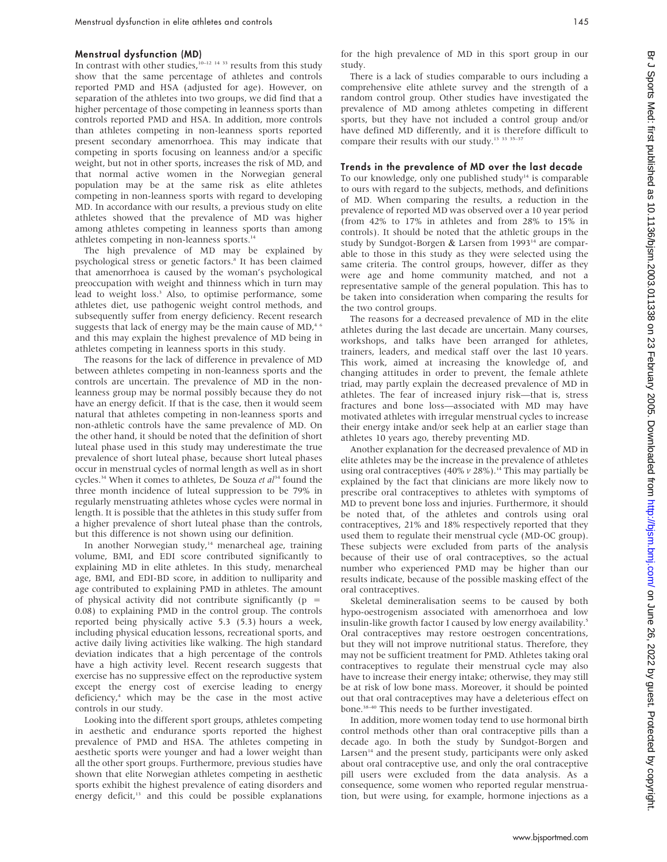### Menstrual dysfunction (MD)

In contrast with other studies, $10-12$  14 33 results from this study show that the same percentage of athletes and controls reported PMD and HSA (adjusted for age). However, on separation of the athletes into two groups, we did find that a higher percentage of those competing in leanness sports than controls reported PMD and HSA. In addition, more controls than athletes competing in non-leanness sports reported present secondary amenorrhoea. This may indicate that competing in sports focusing on leanness and/or a specific weight, but not in other sports, increases the risk of MD, and that normal active women in the Norwegian general population may be at the same risk as elite athletes competing in non-leanness sports with regard to developing MD. In accordance with our results, a previous study on elite athletes showed that the prevalence of MD was higher among athletes competing in leanness sports than among athletes competing in non-leanness sports.<sup>14</sup>

The high prevalence of MD may be explained by psychological stress or genetic factors.8 It has been claimed that amenorrhoea is caused by the woman's psychological preoccupation with weight and thinness which in turn may lead to weight loss.<sup>3</sup> Also, to optimise performance, some athletes diet, use pathogenic weight control methods, and subsequently suffer from energy deficiency. Recent research suggests that lack of energy may be the main cause of MD, $46$ and this may explain the highest prevalence of MD being in athletes competing in leanness sports in this study.

The reasons for the lack of difference in prevalence of MD between athletes competing in non-leanness sports and the controls are uncertain. The prevalence of MD in the nonleanness group may be normal possibly because they do not have an energy deficit. If that is the case, then it would seem natural that athletes competing in non-leanness sports and non-athletic controls have the same prevalence of MD. On the other hand, it should be noted that the definition of short luteal phase used in this study may underestimate the true prevalence of short luteal phase, because short luteal phases occur in menstrual cycles of normal length as well as in short cycles.<sup>34</sup> When it comes to athletes, De Souza et  $al^{34}$  found the three month incidence of luteal suppression to be 79% in regularly menstruating athletes whose cycles were normal in length. It is possible that the athletes in this study suffer from a higher prevalence of short luteal phase than the controls, but this difference is not shown using our definition.

In another Norwegian study,<sup>14</sup> menarcheal age, training volume, BMI, and EDI score contributed significantly to explaining MD in elite athletes. In this study, menarcheal age, BMI, and EDI-BD score, in addition to nulliparity and age contributed to explaining PMD in athletes. The amount of physical activity did not contribute significantly ( $p =$ 0.08) to explaining PMD in the control group. The controls reported being physically active 5.3 (5.3) hours a week, including physical education lessons, recreational sports, and active daily living activities like walking. The high standard deviation indicates that a high percentage of the controls have a high activity level. Recent research suggests that exercise has no suppressive effect on the reproductive system except the energy cost of exercise leading to energy deficiency, $4$  which may be the case in the most active controls in our study.

Looking into the different sport groups, athletes competing in aesthetic and endurance sports reported the highest prevalence of PMD and HSA. The athletes competing in aesthetic sports were younger and had a lower weight than all the other sport groups. Furthermore, previous studies have shown that elite Norwegian athletes competing in aesthetic sports exhibit the highest prevalence of eating disorders and energy deficit,<sup>13</sup> and this could be possible explanations for the high prevalence of MD in this sport group in our study.

There is a lack of studies comparable to ours including a comprehensive elite athlete survey and the strength of a random control group. Other studies have investigated the prevalence of MD among athletes competing in different sports, but they have not included a control group and/or have defined MD differently, and it is therefore difficult to compare their results with our study.<sup>13</sup> 33 35-3<sup>7</sup>

#### Trends in the prevalence of MD over the last decade

To our knowledge, only one published study<sup>14</sup> is comparable to ours with regard to the subjects, methods, and definitions of MD. When comparing the results, a reduction in the prevalence of reported MD was observed over a 10 year period (from 42% to 17% in athletes and from 28% to 15% in controls). It should be noted that the athletic groups in the study by Sundgot-Borgen & Larsen from 1993<sup>14</sup> are comparable to those in this study as they were selected using the same criteria. The control groups, however, differ as they were age and home community matched, and not a representative sample of the general population. This has to be taken into consideration when comparing the results for the two control groups.

The reasons for a decreased prevalence of MD in the elite athletes during the last decade are uncertain. Many courses, workshops, and talks have been arranged for athletes, trainers, leaders, and medical staff over the last 10 years. This work, aimed at increasing the knowledge of, and changing attitudes in order to prevent, the female athlete triad, may partly explain the decreased prevalence of MD in athletes. The fear of increased injury risk—that is, stress fractures and bone loss—associated with MD may have motivated athletes with irregular menstrual cycles to increase their energy intake and/or seek help at an earlier stage than athletes 10 years ago, thereby preventing MD.

Another explanation for the decreased prevalence of MD in elite athletes may be the increase in the prevalence of athletes using oral contraceptives (40%  $v$  28%).<sup>14</sup> This may partially be explained by the fact that clinicians are more likely now to prescribe oral contraceptives to athletes with symptoms of MD to prevent bone loss and injuries. Furthermore, it should be noted that, of the athletes and controls using oral contraceptives, 21% and 18% respectively reported that they used them to regulate their menstrual cycle (MD-OC group). These subjects were excluded from parts of the analysis because of their use of oral contraceptives, so the actual number who experienced PMD may be higher than our results indicate, because of the possible masking effect of the oral contraceptives.

Skeletal demineralisation seems to be caused by both hypo-oestrogenism associated with amenorrhoea and low insulin-like growth factor I caused by low energy availability.<sup>5</sup> Oral contraceptives may restore oestrogen concentrations, but they will not improve nutritional status. Therefore, they may not be sufficient treatment for PMD. Athletes taking oral contraceptives to regulate their menstrual cycle may also have to increase their energy intake; otherwise, they may still be at risk of low bone mass. Moreover, it should be pointed out that oral contraceptives may have a deleterious effect on bone.38–40 This needs to be further investigated.

In addition, more women today tend to use hormonal birth control methods other than oral contraceptive pills than a decade ago. In both the study by Sundgot-Borgen and Larsen $14$  and the present study, participants were only asked about oral contraceptive use, and only the oral contraceptive pill users were excluded from the data analysis. As a consequence, some women who reported regular menstruation, but were using, for example, hormone injections as a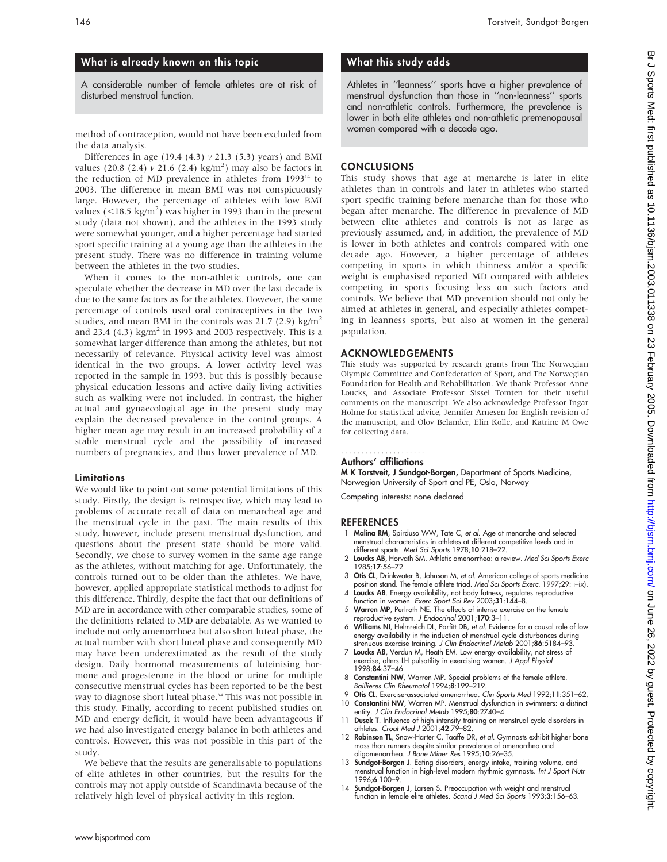A considerable number of female athletes are at risk of disturbed menstrual function.

method of contraception, would not have been excluded from the data analysis.

Differences in age (19.4 (4.3)  $v$  21.3 (5.3) years) and BMI values (20.8 (2.4)  $v$  21.6 (2.4) kg/m<sup>2</sup>) may also be factors in the reduction of MD prevalence in athletes from  $1993<sup>14</sup>$  to 2003. The difference in mean BMI was not conspicuously large. However, the percentage of athletes with low BMI values ( $\langle$ 18.5 kg/m<sup>2</sup>) was higher in 1993 than in the present study (data not shown), and the athletes in the 1993 study were somewhat younger, and a higher percentage had started sport specific training at a young age than the athletes in the present study. There was no difference in training volume between the athletes in the two studies.

When it comes to the non-athletic controls, one can speculate whether the decrease in MD over the last decade is due to the same factors as for the athletes. However, the same percentage of controls used oral contraceptives in the two studies, and mean BMI in the controls was 21.7 (2.9) kg/m<sup>2</sup> and 23.4 (4.3) kg/ $m^2$  in 1993 and 2003 respectively. This is a somewhat larger difference than among the athletes, but not necessarily of relevance. Physical activity level was almost identical in the two groups. A lower activity level was reported in the sample in 1993, but this is possibly because physical education lessons and active daily living activities such as walking were not included. In contrast, the higher actual and gynaecological age in the present study may explain the decreased prevalence in the control groups. A higher mean age may result in an increased probability of a stable menstrual cycle and the possibility of increased numbers of pregnancies, and thus lower prevalence of MD.

#### Limitations

We would like to point out some potential limitations of this study. Firstly, the design is retrospective, which may lead to problems of accurate recall of data on menarcheal age and the menstrual cycle in the past. The main results of this study, however, include present menstrual dysfunction, and questions about the present state should be more valid. Secondly, we chose to survey women in the same age range as the athletes, without matching for age. Unfortunately, the controls turned out to be older than the athletes. We have, however, applied appropriate statistical methods to adjust for this difference. Thirdly, despite the fact that our definitions of MD are in accordance with other comparable studies, some of the definitions related to MD are debatable. As we wanted to include not only amenorrhoea but also short luteal phase, the actual number with short luteal phase and consequently MD may have been underestimated as the result of the study design. Daily hormonal measurements of luteinising hormone and progesterone in the blood or urine for multiple consecutive menstrual cycles has been reported to be the best way to diagnose short luteal phase.<sup>34</sup> This was not possible in this study. Finally, according to recent published studies on MD and energy deficit, it would have been advantageous if we had also investigated energy balance in both athletes and controls. However, this was not possible in this part of the study.

We believe that the results are generalisable to populations of elite athletes in other countries, but the results for the controls may not apply outside of Scandinavia because of the relatively high level of physical activity in this region.

# What this study adds

Athletes in ''leanness'' sports have a higher prevalence of menstrual dysfunction than those in ''non-leanness'' sports and non-athletic controls. Furthermore, the prevalence is lower in both elite athletes and non-athletic premenopausal women compared with a decade ago.

## CONCLUSIONS

This study shows that age at menarche is later in elite athletes than in controls and later in athletes who started sport specific training before menarche than for those who began after menarche. The difference in prevalence of MD between elite athletes and controls is not as large as previously assumed, and, in addition, the prevalence of MD is lower in both athletes and controls compared with one decade ago. However, a higher percentage of athletes competing in sports in which thinness and/or a specific weight is emphasised reported MD compared with athletes competing in sports focusing less on such factors and controls. We believe that MD prevention should not only be aimed at athletes in general, and especially athletes competing in leanness sports, but also at women in the general population.

## ACKNOWLEDGEMENTS

This study was supported by research grants from The Norwegian Olympic Committee and Confederation of Sport, and The Norwegian Foundation for Health and Rehabilitation. We thank Professor Anne Loucks, and Associate Professor Sissel Tomten for their useful comments on the manuscript. We also acknowledge Professor Ingar Holme for statistical advice, Jennifer Arnesen for English revision of the manuscript, and Olov Belander, Elin Kolle, and Katrine M Owe for collecting data.

# .....................

Authors' affiliations

M K Torstveit, J Sundgot-Borgen, Department of Sports Medicine. Norwegian University of Sport and PE, Oslo, Norway

Competing interests: none declared

#### REFERENCES

- 1 Malina RM, Spirduso WW, Tate C, et al. Age at menarche and selected menstrual characteristics in athletes at different competitive levels and in different sports. Med Sci Sports 1978;10:218–22.
- 2 Loucks AB, Horvath SM. Athletic amenorrhea: a review. Med Sci Sports Exerc 1985;17:56–72.
- 3 Otis CL, Drinkwater B, Johnson M, et al. American college of sports medicine position stand. The female athlete triad. Med Sci Sports Exerc. 1997;29: i–ix).
- 4 Loucks AB. Energy availability, not body fatness, regulates reproductive
- function in women. Exerc Sport Sci Rev 2003;31:144–8. 5 Warren MP, Perlroth NE. The effects of intense exercise on the female reproductive system. J Endocrinol 2001;170:3–11.
- 6 Williams NI, Helmreich DL, Parfitt DB, et al. Evidence for a causal role of low energy availability in the induction of menstrual cycle disturbances during
- strenuous exercise training. *J Clin Endocrinol Metab* 2001;8**6**:5184–93.<br>7 **Loucks AB**, Verdun M, Heath EM. Low energy availability, not stress of exercise, alters LH pulsatility in exercising women. J Appl Physiol 1998;84:37–46.
- 8 Constantini NW, Warren MP. Special problems of the female athlete. Baillieres Clin Rheumatol 1994;8:199-219.
- 9 Otis CL. Exercise-associated amenorrhea. Clin Sports Med 1992;11:351-62. 10 Constantini NW, Warren MP. Menstrual dysfunction in swimmers: a distinct
- entity. J Clin Endocrinol Metab 1995;80:2740-4. 11 Dusek T. Influence of high intensity training on menstrual cycle disorders in athletes. Croat Med J 2001;42:79–82.
- 12 Robinson TL, Snow-Harter C, Taaffe DR, et al. Gymnasts exhibit higher bone mass than runners despite similar prevalence of amenorrhea and oligomenorrhea. J Bone Miner Res 1995;10:26–35.
- 13 Sundgot-Borgen J. Eating disorders, energy intake, training volume, and menstrual function in high-level modern rhythmic gymnasts. Int J Sport Nutr 1996;6:100–9.
- 14 Sundgot-Borgen J, Larsen S. Preoccupation with weight and menstrual function in female elite athletes. Scand J Med Sci Sports 1993;3:156–63.